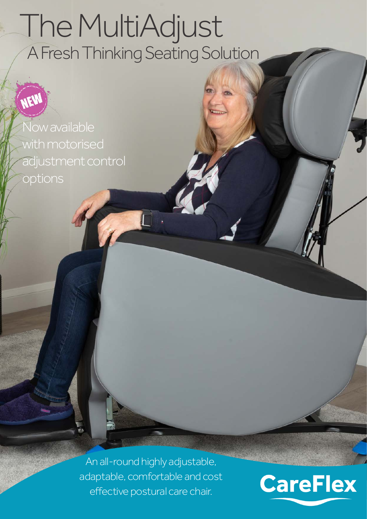# The MultiAdjust A Fresh Thinking Seating Solution

Now available with motorised adjustment control options

NEW

An all-round highly adjustable, adaptable, comfortable and cost effective postural care chair.

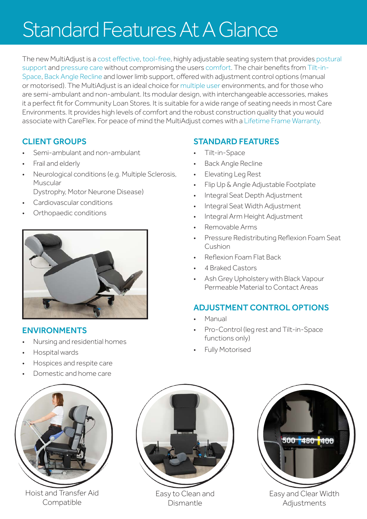### Standard Features At A Glance

The new MultiAdjust is a cost effective, tool-free, highly adjustable seating system that provides postural support and pressure care without compromising the users comfort. The chair benefits from Tilt-in-Space, Back Angle Recline and lower limb support, offered with adjustment control options (manual or motorised). The MultiAdjust is an ideal choice for multiple user environments, and for those who are semi-ambulant and non-ambulant. Its modular design, with interchangeable accessories, makes it a perfect fit for Community Loan Stores. It is suitable for a wide range of seating needs in most Care Environments. It provides high levels of comfort and the robust construction quality that you would associate with CareFlex. For peace of mind the MultiAdjust comes with a Lifetime Frame Warranty.

#### CLIENT GROUPS

- Semi-ambulant and non-ambulant
- Frail and elderly
- Neurological conditions (e.g. Multiple Sclerosis, Muscular
	- Dystrophy, Motor Neurone Disease)
- Cardiovascular conditions
- Orthopaedic conditions



#### ENVIRONMENTS

- Nursing and residential homes
- Hospital wards
- Hospices and respite care
- Domestic and home care



Hoist and Transfer Aid Compatible



Easy to Clean and Dismantle



- Tilt-in-Space
- Back Angle Recline
- Elevating Leg Rest
- Flip Up & Angle Adjustable Footplate
- Integral Seat Depth Adjustment
- Integral Seat Width Adjustment
- Integral Arm Height Adjustment
- Removable Arms
- Pressure Redistributing Reflexion Foam Seat Cushion
- Reflexion Foam Flat Back
- 4 Braked Castors
- Ash Grey Upholstery with Black Vapour Permeable Material to Contact Areas

#### ADJUSTMENT CONTROL OPTIONS

- Manual
- Pro-Control (leg rest and Tilt-in-Space functions only)
- Fully Motorised



Easy and Clear Width **Adjustments**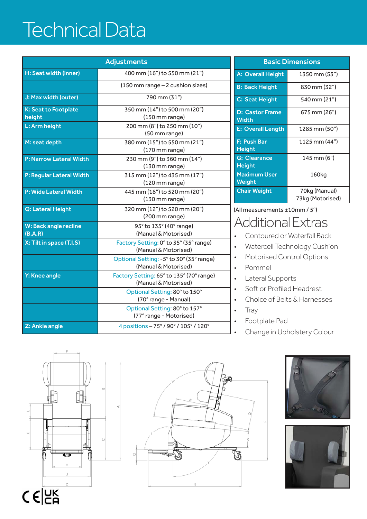### Technical Data

| <b>Adjustments</b>                    |                                                                  |  |
|---------------------------------------|------------------------------------------------------------------|--|
| H: Seat width (inner)                 | 400 mm (16") to 550 mm (21")                                     |  |
|                                       | (150 mm range - 2 cushion sizes)                                 |  |
| J: Max width (outer)                  | 790 mm (31")                                                     |  |
| <b>K: Seat to Footplate</b><br>height | 350 mm (14") to 500 mm (20")<br>(150 mm range)                   |  |
| L: Arm height                         | 200 mm (8") to 250 mm (10")<br>(50 mm range)                     |  |
| M: seat depth                         | 380 mm (15") to 550 mm (21")<br>(170 mm range)                   |  |
| <b>P: Narrow Lateral Width</b>        | 230 mm (9") to 360 mm (14")<br>(130 mm range)                    |  |
| P: Regular Lateral Width              | 315 mm (12") to 435 mm (17")<br>(120 mm range)                   |  |
| <b>P: Wide Lateral Width</b>          | 445 mm (18") to 520 mm (20")<br>(130 mm range)                   |  |
| Q: Lateral Height                     | 320 mm (12") to 520 mm (20")<br>(200 mm range)                   |  |
| W: Back angle recline<br>(B.A.R)      | 95° to 135° (40° range)<br>(Manual & Motorised)                  |  |
| X: Tilt in space (T.I.S)              | Factory Setting: 0° to 35° (35° range)<br>(Manual & Motorised)   |  |
|                                       | Optional Setting: -5° to 30° (35° range)<br>(Manual & Motorised) |  |
| Y: Knee angle                         | Factory Setting: 65° to 135° (70° range)<br>(Manual & Motorised) |  |
|                                       | Optional Setting: 80° to 150°<br>(70° range - Manual)            |  |
|                                       | Optional Setting: 80° to 157°<br>(77° range - Motorised)         |  |
| Z: Ankle angle                        | 4 positions - 75° / 90° / 105° / 120°                            |  |

| <b>Basic Dimensions</b>                |                                   |  |
|----------------------------------------|-----------------------------------|--|
| <b>A: Overall Height</b>               | 1350 mm (53")                     |  |
| <b>B: Back Height</b>                  | 830 mm (32")                      |  |
| C: Seat Height                         | 540 mm (21")                      |  |
| <b>D: Castor Frame</b><br><b>Width</b> | 675 mm (26")                      |  |
| <b>E: Overall Length</b>               | 1285 mm (50″)                     |  |
| F: Push Bar<br><b>Height</b>           | 1125 mm (44")                     |  |
| <b>G: Clearance</b><br>Height          | 145 mm (6")                       |  |
| <b>Maximum User</b><br>Weight          | 160kg                             |  |
| <b>Chair Weight</b>                    | 70kg (Manual)<br>73kg (Motorised) |  |

(All measurements ±10mm / 5°)

### Additional Extras

- Contoured or Waterfall Back
- Watercell Technology Cushion
- Motorised Control Options
- Pommel
- Lateral Supports
- Soft or Profiled Headrest
- Choice of Belts & Harnesses
- Tray
- Footplate Pad
- Change in Upholstery Colour